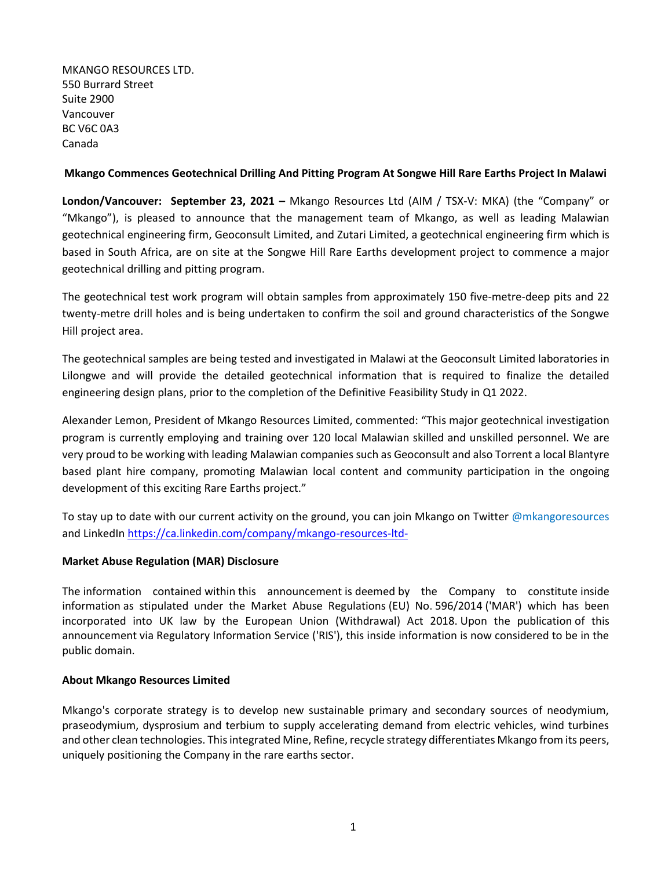MKANGO RESOURCES LTD. 550 Burrard Street Suite 2900 Vancouver BC V6C 0A3 Canada

# **Mkango Commences Geotechnical Drilling And Pitting Program At Songwe Hill Rare Earths Project In Malawi**

**London/Vancouver: September 23, 2021 –** Mkango Resources Ltd (AIM / TSX-V: MKA) (the "Company" or "Mkango"), is pleased to announce that the management team of Mkango, as well as leading Malawian geotechnical engineering firm, Geoconsult Limited, and Zutari Limited, a geotechnical engineering firm which is based in South Africa, are on site at the Songwe Hill Rare Earths development project to commence a major geotechnical drilling and pitting program.

The geotechnical test work program will obtain samples from approximately 150 five-metre-deep pits and 22 twenty-metre drill holes and is being undertaken to confirm the soil and ground characteristics of the Songwe Hill project area.

The geotechnical samples are being tested and investigated in Malawi at the Geoconsult Limited laboratories in Lilongwe and will provide the detailed geotechnical information that is required to finalize the detailed engineering design plans, prior to the completion of the Definitive Feasibility Study in Q1 2022.

Alexander Lemon, President of Mkango Resources Limited, commented: "This major geotechnical investigation program is currently employing and training over 120 local Malawian skilled and unskilled personnel. We are very proud to be working with leading Malawian companies such as Geoconsult and also Torrent a local Blantyre based plant hire company, promoting Malawian local content and community participation in the ongoing development of this exciting Rare Earths project."

To stay up to date with our current activity on the ground, you can join Mkango on Twitter @mkangoresources and LinkedIn <https://ca.linkedin.com/company/mkango-resources-ltd->

# **Market Abuse Regulation (MAR) Disclosure**

The information contained within this announcement is deemed by the Company to constitute inside information as stipulated under the Market Abuse Regulations (EU) No. 596/2014 ('MAR') which has been incorporated into UK law by the European Union (Withdrawal) Act 2018. Upon the publication of this announcement via Regulatory Information Service ('RIS'), this inside information is now considered to be in the public domain.

#### **About Mkango Resources Limited**

Mkango's corporate strategy is to develop new sustainable primary and secondary sources of neodymium, praseodymium, dysprosium and terbium to supply accelerating demand from electric vehicles, wind turbines and other clean technologies. This integrated Mine, Refine, recycle strategy differentiates Mkango from its peers, uniquely positioning the Company in the rare earths sector.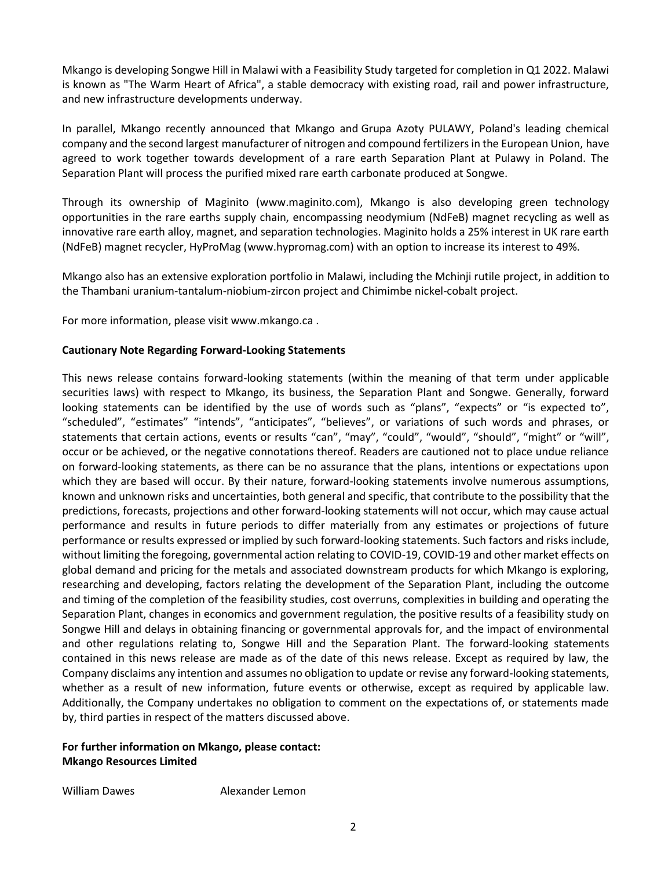Mkango is developing Songwe Hill in Malawi with a Feasibility Study targeted for completion in Q1 2022. Malawi is known as "The Warm Heart of Africa", a stable democracy with existing road, rail and power infrastructure, and new infrastructure developments underway.

In parallel, Mkango recently announced that Mkango and Grupa Azoty PULAWY, Poland's leading chemical company and the second largest manufacturer of nitrogen and compound fertilizers in the European Union, have agreed to work together towards development of a rare earth Separation Plant at Pulawy in Poland. The Separation Plant will process the purified mixed rare earth carbonate produced at Songwe.

Through its ownership of Maginito [\(www.maginito.com\)](http://www.maginito.com/), Mkango is also developing green technology opportunities in the rare earths supply chain, encompassing neodymium (NdFeB) magnet recycling as well as innovative rare earth alloy, magnet, and separation technologies. Maginito holds a 25% interest in UK rare earth (NdFeB) magnet recycler, HyProMag [\(www.hypromag.com\)](http://www.hypromag.com/) with an option to increase its interest to 49%.

Mkango also has an extensive exploration portfolio in Malawi, including the Mchinji rutile project, in addition to the Thambani uranium-tantalum-niobium-zircon project and Chimimbe nickel-cobalt project.

For more information, please visit www.mkango.ca .

### **Cautionary Note Regarding Forward-Looking Statements**

This news release contains forward-looking statements (within the meaning of that term under applicable securities laws) with respect to Mkango, its business, the Separation Plant and Songwe. Generally, forward looking statements can be identified by the use of words such as "plans", "expects" or "is expected to", "scheduled", "estimates" "intends", "anticipates", "believes", or variations of such words and phrases, or statements that certain actions, events or results "can", "may", "could", "would", "should", "might" or "will", occur or be achieved, or the negative connotations thereof. Readers are cautioned not to place undue reliance on forward-looking statements, as there can be no assurance that the plans, intentions or expectations upon which they are based will occur. By their nature, forward-looking statements involve numerous assumptions, known and unknown risks and uncertainties, both general and specific, that contribute to the possibility that the predictions, forecasts, projections and other forward-looking statements will not occur, which may cause actual performance and results in future periods to differ materially from any estimates or projections of future performance or results expressed or implied by such forward-looking statements. Such factors and risks include, without limiting the foregoing, governmental action relating to COVID-19, COVID-19 and other market effects on global demand and pricing for the metals and associated downstream products for which Mkango is exploring, researching and developing, factors relating the development of the Separation Plant, including the outcome and timing of the completion of the feasibility studies, cost overruns, complexities in building and operating the Separation Plant, changes in economics and government regulation, the positive results of a feasibility study on Songwe Hill and delays in obtaining financing or governmental approvals for, and the impact of environmental and other regulations relating to, Songwe Hill and the Separation Plant. The forward-looking statements contained in this news release are made as of the date of this news release. Except as required by law, the Company disclaims any intention and assumes no obligation to update or revise any forward-looking statements, whether as a result of new information, future events or otherwise, except as required by applicable law. Additionally, the Company undertakes no obligation to comment on the expectations of, or statements made by, third parties in respect of the matters discussed above.

# **For further information on Mkango, please contact: Mkango Resources Limited**

William Dawes **Alexander Lemon**